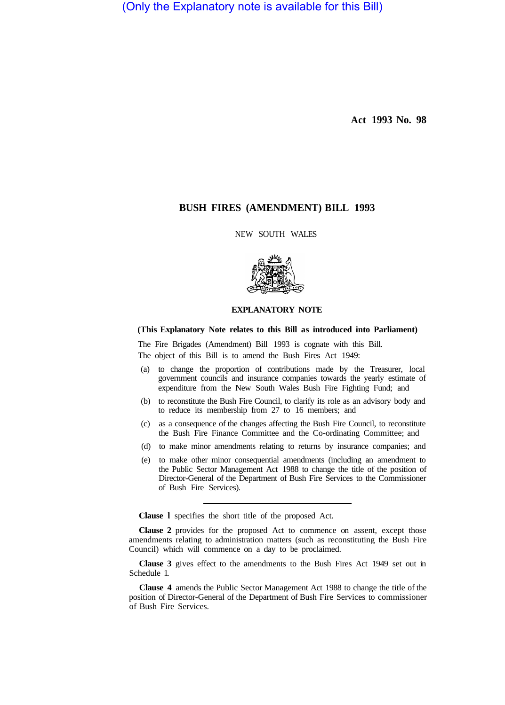(Only the Explanatory note is available for this Bill)

**Act 1993 No. 98** 

# **BUSH FIRES (AMENDMENT) BILL 1993**

NEW SOUTH WALES



## **EXPLANATORY NOTE**

## **(This Explanatory Note relates to this Bill as introduced into Parliament)**

The Fire Brigades (Amendment) Bill 1993 is cognate with this Bill.

The object of this Bill is to amend the Bush Fires Act 1949:

- (a) to change the proportion of contributions made by the Treasurer, local government councils and insurance companies towards the yearly estimate of expenditure from the New South Wales Bush Fire Fighting Fund; and
- (b) to reconstitute the Bush Fire Council, to clarify its role as an advisory body and to reduce its membership from 27 to 16 members; and
- (c) as a consequence of the changes affecting the Bush Fire Council, to reconstitute the Bush Fire Finance Committee and the Co-ordinating Committee; and
- (d) to make minor amendments relating to returns by insurance companies; and
- (e) to make other minor consequential amendments (including an amendment to the Public Sector Management Act 1988 to change the title of the position of Director-General of the Department of Bush Fire Services to the Commissioner of Bush Fire Services).

**Clause l** specifies the short title of the proposed Act.

**Clause 2** provides for the proposed Act to commence on assent, except those amendments relating to administration matters (such as reconstituting the Bush Fire Council) which will commence on a day to be proclaimed.

**Clause 3** gives effect to the amendments to the Bush Fires Act 1949 set out in Schedule 1.

**Clause 4** amends the Public Sector Management Act 1988 to change the title of the position of Director-General of the Department of Bush Fire Services to commissioner of Bush Fire Services.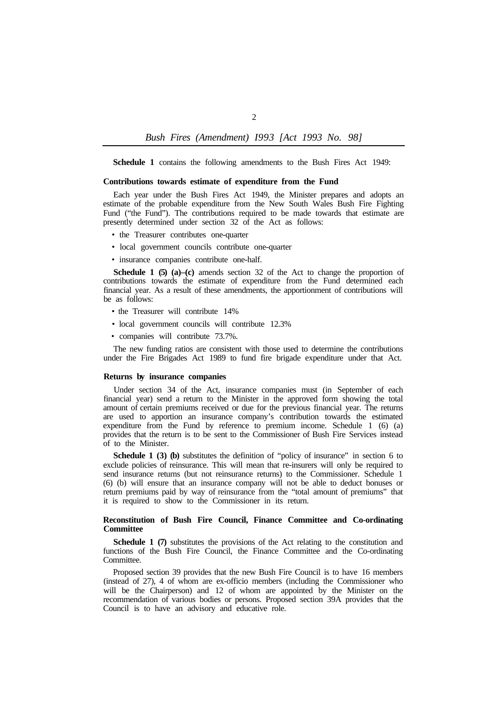*Bush Fires (Amendment) I993 [Act 1993 No. 98]* 

**Schedule 1** contains the following amendments to the Bush Fires Act 1949:

#### **Contributions towards estimate of expenditure from the Fund**

Each year under the Bush Fires Act 1949, the Minister prepares and adopts an estimate of the probable expenditure from the New South Wales Bush Fire Fighting Fund ("the Fund"). The contributions required to be made towards that estimate are presently determined under section 32 of the Act as follows:

- the Treasurer contributes one-quarter
- local government councils contribute one-quarter
- insurance companies contribute one-half.

**Schedule 1 (5) (a)–(c)** amends section 32 of the Act to change the proportion of contributions towards the estimate of expenditure from the Fund determined each financial year. As a result of these amendments, the apportionment of contributions will be as follows:

- the Treasurer will contribute 14%
- local government councils will contribute 12.3%
- companies will contribute 73.7%.

The new funding ratios are consistent with those used to determine the contributions under the Fire Brigades Act 1989 to fund fire brigade expenditure under that Act.

#### **Returns by insurance companies**

Under section 34 of the Act, insurance companies must (in September of each financial year) send a return to the Minister in the approved form showing the total amount of certain premiums received or due for the previous financial year. The returns are used to apportion an insurance company's contribution towards the estimated expenditure from the Fund by reference to premium income. Schedule 1 (6) (a) provides that the return is to be sent to the Commissioner of Bush Fire Services instead of to the Minister.

**Schedule 1 (3) (b)** substitutes the definition of "policy of insurance" in section 6 to exclude policies of reinsurance. This will mean that re-insurers will only be required to send insurance returns (but not reinsurance returns) to the Commissioner. Schedule 1 (6) (b) will ensure that an insurance company will not be able to deduct bonuses or return premiums paid by way of reinsurance from the "total amount of premiums" that it is required to show to the Commissioner in its return.

## **Reconstitution of Bush Fire Council, Finance Committee and Co-ordinating Committee**

**Schedule 1 (7)** substitutes the provisions of the Act relating to the constitution and functions of the Bush Fire Council, the Finance Committee and the Co-ordinating Committee.

Proposed section 39 provides that the new Bush Fire Council is to have 16 members (instead of 27), 4 of whom are ex-officio members (including the Commissioner who will be the Chairperson) and 12 of whom are appointed by the Minister on the recommendation of various bodies or persons. Proposed section 39A provides that the Council is to have an advisory and educative role.